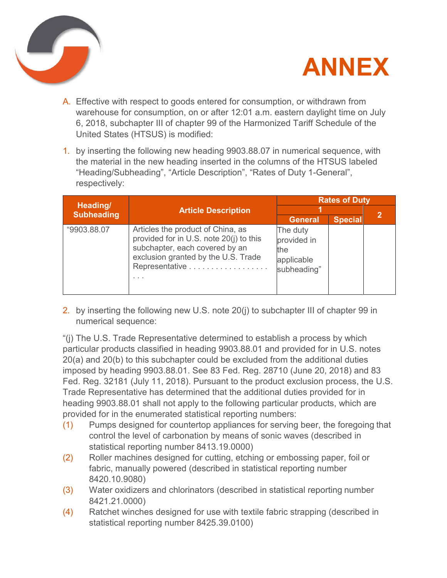



- A. Effective with respect to goods entered for consumption, or withdrawn from warehouse for consumption, on or after 12:01 a.m. eastern daylight time on July 6, 2018, subchapter III of chapter 99 of the Harmonized Tariff Schedule of the United States (HTSUS) is modified:
- 1. by inserting the following new heading 9903.88.07 in numerical sequence, with the material in the new heading inserted in the columns of the HTSUS labeled "Heading/Subheading", "Article Description", "Rates of Duty 1-General", respectively:

| Heading/<br><b>Subheading</b> | <b>Article Description</b>                                                                                                                                                   | <b>Rates of Duty</b>                                        |                |  |
|-------------------------------|------------------------------------------------------------------------------------------------------------------------------------------------------------------------------|-------------------------------------------------------------|----------------|--|
|                               |                                                                                                                                                                              |                                                             |                |  |
|                               |                                                                                                                                                                              | <b>General</b>                                              | <b>Special</b> |  |
| "9903.88.07                   | Articles the product of China, as<br>provided for in U.S. note 20(j) to this<br>subchapter, each covered by an<br>exclusion granted by the U.S. Trade<br>Representative<br>. | The duty<br>provided in<br>the<br>applicable<br>subheading" |                |  |

2. by inserting the following new U.S. note 20(j) to subchapter III of chapter 99 in numerical sequence:

"(j) The U.S. Trade Representative determined to establish a process by which particular products classified in heading 9903.88.01 and provided for in U.S. notes 20(a) and 20(b) to this subchapter could be excluded from the additional duties imposed by heading 9903.88.01. See 83 Fed. Reg. 28710 (June 20, 2018) and 83 Fed. Reg. 32181 (July 11, 2018). Pursuant to the product exclusion process, the U.S. Trade Representative has determined that the additional duties provided for in heading 9903.88.01 shall not apply to the following particular products, which are provided for in the enumerated statistical reporting numbers:

- (1) Pumps designed for countertop appliances for serving beer, the foregoing that control the level of carbonation by means of sonic waves (described in statistical reporting number 8413.19.0000)
- (2) Roller machines designed for cutting, etching or embossing paper, foil or fabric, manually powered (described in statistical reporting number 8420.10.9080)
- (3) Water oxidizers and chlorinators (described in statistical reporting number 8421.21.0000)
- (4) Ratchet winches designed for use with textile fabric strapping (described in statistical reporting number 8425.39.0100)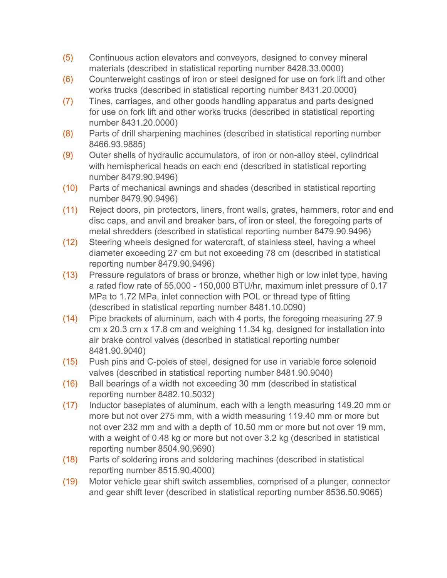- (5) Continuous action elevators and conveyors, designed to convey mineral materials (described in statistical reporting number 8428.33.0000)
- (6) Counterweight castings of iron or steel designed for use on fork lift and other works trucks (described in statistical reporting number 8431.20.0000)
- (7) Tines, carriages, and other goods handling apparatus and parts designed for use on fork lift and other works trucks (described in statistical reporting number 8431.20.0000)
- (8) Parts of drill sharpening machines (described in statistical reporting number 8466.93.9885)
- (9) Outer shells of hydraulic accumulators, of iron or non-alloy steel, cylindrical with hemispherical heads on each end (described in statistical reporting number 8479.90.9496)
- (10) Parts of mechanical awnings and shades (described in statistical reporting number 8479.90.9496)
- (11) Reject doors, pin protectors, liners, front walls, grates, hammers, rotor and end disc caps, and anvil and breaker bars, of iron or steel, the foregoing parts of metal shredders (described in statistical reporting number 8479.90.9496)
- (12) Steering wheels designed for watercraft, of stainless steel, having a wheel diameter exceeding 27 cm but not exceeding 78 cm (described in statistical reporting number 8479.90.9496)
- (13) Pressure regulators of brass or bronze, whether high or low inlet type, having a rated flow rate of 55,000 - 150,000 BTU/hr, maximum inlet pressure of 0.17 MPa to 1.72 MPa, inlet connection with POL or thread type of fitting (described in statistical reporting number 8481.10.0090)
- (14) Pipe brackets of aluminum, each with 4 ports, the foregoing measuring 27.9 cm x 20.3 cm x 17.8 cm and weighing 11.34 kg, designed for installation into air brake control valves (described in statistical reporting number 8481.90.9040)
- (15) Push pins and C-poles of steel, designed for use in variable force solenoid valves (described in statistical reporting number 8481.90.9040)
- (16) Ball bearings of a width not exceeding 30 mm (described in statistical reporting number 8482.10.5032)
- (17) Inductor baseplates of aluminum, each with a length measuring 149.20 mm or more but not over 275 mm, with a width measuring 119.40 mm or more but not over 232 mm and with a depth of 10.50 mm or more but not over 19 mm, with a weight of 0.48 kg or more but not over 3.2 kg (described in statistical reporting number 8504.90.9690)
- (18) Parts of soldering irons and soldering machines (described in statistical reporting number 8515.90.4000)
- (19) Motor vehicle gear shift switch assemblies, comprised of a plunger, connector and gear shift lever (described in statistical reporting number 8536.50.9065)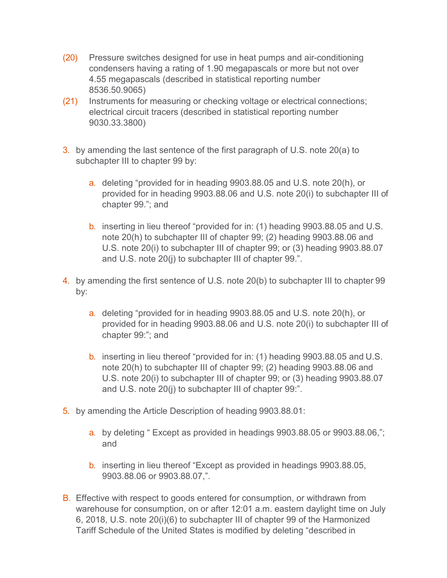- (20) Pressure switches designed for use in heat pumps and air-conditioning condensers having a rating of 1.90 megapascals or more but not over 4.55 megapascals (described in statistical reporting number 8536.50.9065)
- (21) Instruments for measuring or checking voltage or electrical connections; electrical circuit tracers (described in statistical reporting number 9030.33.3800)
- 3. by amending the last sentence of the first paragraph of U.S. note 20(a) to subchapter III to chapter 99 by:
	- a. deleting "provided for in heading 9903.88.05 and U.S. note 20(h), or provided for in heading 9903.88.06 and U.S. note 20(i) to subchapter III of chapter 99."; and
	- b. inserting in lieu thereof "provided for in: (1) heading 9903.88.05 and U.S. note 20(h) to subchapter III of chapter 99; (2) heading 9903.88.06 and U.S. note 20(i) to subchapter III of chapter 99; or (3) heading 9903.88.07 and U.S. note 20(j) to subchapter III of chapter 99.".
- 4. by amending the first sentence of U.S. note 20(b) to subchapter III to chapter 99 by:
	- a. deleting "provided for in heading 9903.88.05 and U.S. note 20(h), or provided for in heading 9903.88.06 and U.S. note 20(i) to subchapter III of chapter 99:"; and
	- b. inserting in lieu thereof "provided for in: (1) heading 9903.88.05 and U.S. note 20(h) to subchapter III of chapter 99; (2) heading 9903.88.06 and U.S. note 20(i) to subchapter III of chapter 99; or (3) heading 9903.88.07 and U.S. note 20(j) to subchapter III of chapter 99:".
- 5. by amending the Article Description of heading 9903.88.01:
	- a. by deleting " Except as provided in headings 9903.88.05 or 9903.88.06,"; and
	- b. inserting in lieu thereof "Except as provided in headings 9903.88.05, 9903.88.06 or 9903.88.07,".
- B. Effective with respect to goods entered for consumption, or withdrawn from warehouse for consumption, on or after 12:01 a.m. eastern daylight time on July 6, 2018, U.S. note 20(i)(6) to subchapter III of chapter 99 of the Harmonized Tariff Schedule of the United States is modified by deleting "described in